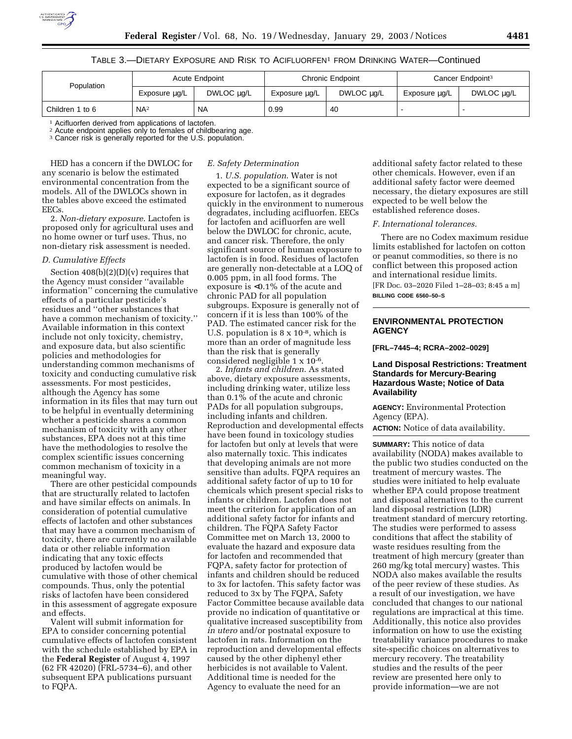

## TABLE 3.—DIETARY EXPOSURE AND RISK TO ACIFLUORFEN1 FROM DRINKING WATER—Continued

| Population      | Acute Endpoint  |            | <b>Chronic Endpoint</b> |            | Cancer Endpoint <sup>3</sup> |            |
|-----------------|-----------------|------------|-------------------------|------------|------------------------------|------------|
|                 | Exposure µg/L   | DWLOC ug/L | Exposure ug/L           | DWLOC ug/L | Exposure µg/L                | DWLOC µg/L |
| Children 1 to 6 | NA <sup>2</sup> | <b>NA</b>  | 0.99                    | 40         |                              |            |

<sup>1</sup> Acifluorfen derived from applications of lactofen.

2 Acute endpoint applies only to females of childbearing age.

<sup>3</sup> Cancer risk is generally reported for the U.S. population.

HED has a concern if the DWLOC for any scenario is below the estimated environmental concentration from the models. All of the DWLOCs shown in the tables above exceed the estimated EECs.

2. *Non-dietary exposure*. Lactofen is proposed only for agricultural uses and no home owner or turf uses. Thus, no non-dietary risk assessment is needed.

### *D. Cumulative Effects*

Section 408(b)(2)(D)(v) requires that the Agency must consider ''available information'' concerning the cumulative effects of a particular pesticide's residues and ''other substances that have a common mechanism of toxicity.'' Available information in this context include not only toxicity, chemistry, and exposure data, but also scientific policies and methodologies for understanding common mechanisms of toxicity and conducting cumulative risk assessments. For most pesticides, although the Agency has some information in its files that may turn out to be helpful in eventually determining whether a pesticide shares a common mechanism of toxicity with any other substances, EPA does not at this time have the methodologies to resolve the complex scientific issues concerning common mechanism of toxicity in a meaningful way.

There are other pesticidal compounds that are structurally related to lactofen and have similar effects on animals. In consideration of potential cumulative effects of lactofen and other substances that may have a common mechanism of toxicity, there are currently no available data or other reliable information indicating that any toxic effects produced by lactofen would be cumulative with those of other chemical compounds. Thus, only the potential risks of lactofen have been considered in this assessment of aggregate exposure and effects.

Valent will submit information for EPA to consider concerning potential cumulative effects of lactofen consistent with the schedule established by EPA in the **Federal Register** of August 4, 1997 (62 FR 42020) (FRL-5734–6), and other subsequent EPA publications pursuant to FQPA.

## *E. Safety Determination*

1. *U.S. population*. Water is not expected to be a significant source of exposure for lactofen, as it degrades quickly in the environment to numerous degradates, including acifluorfen. EECs for lactofen and acifluorfen are well below the DWLOC for chronic, acute, and cancer risk. Therefore, the only significant source of human exposure to lactofen is in food. Residues of lactofen are generally non-detectable at a LOQ of 0.005 ppm, in all food forms. The exposure is <0.1% of the acute and chronic PAD for all population subgroups. Exposure is generally not of concern if it is less than 100% of the PAD. The estimated cancer risk for the U.S. population is 8 x 10-8, which is more than an order of magnitude less than the risk that is generally considered negligible 1 x 10-6.

2. *Infants and children*. As stated above, dietary exposure assessments, including drinking water, utilize less than 0.1% of the acute and chronic PADs for all population subgroups, including infants and children. Reproduction and developmental effects have been found in toxicology studies for lactofen but only at levels that were also maternally toxic. This indicates that developing animals are not more sensitive than adults. FQPA requires an additional safety factor of up to 10 for chemicals which present special risks to infants or children. Lactofen does not meet the criterion for application of an additional safety factor for infants and children. The FQPA Safety Factor Committee met on March 13, 2000 to evaluate the hazard and exposure data for lactofen and recommended that FQPA, safety factor for protection of infants and children should be reduced to 3x for lactofen. This safety factor was reduced to 3x by The FQPA, Safety Factor Committee because available data provide no indication of quantitative or qualitative increased susceptibility from *in utero* and/or postnatal exposure to lactofen in rats. Information on the reproduction and developmental effects caused by the other diphenyl ether herbicides is not available to Valent. Additional time is needed for the Agency to evaluate the need for an

additional safety factor related to these other chemicals. However, even if an additional safety factor were deemed necessary, the dietary exposures are still expected to be well below the established reference doses.

### *F. International tolerances.*

There are no Codex maximum residue limits established for lactofen on cotton or peanut commodities, so there is no conflict between this proposed action and international residue limits. [FR Doc. 03–2020 Filed 1–28–03; 8:45 a m] **BILLING CODE 6560–50–S**

# **ENVIRONMENTAL PROTECTION AGENCY**

**[FRL–7445–4; RCRA–2002–0029]** 

### **Land Disposal Restrictions: Treatment Standards for Mercury-Bearing Hazardous Waste; Notice of Data Availability**

**AGENCY:** Environmental Protection Agency (EPA).

**ACTION:** Notice of data availability.

**SUMMARY:** This notice of data availability (NODA) makes available to the public two studies conducted on the treatment of mercury wastes. The studies were initiated to help evaluate whether EPA could propose treatment and disposal alternatives to the current land disposal restriction (LDR) treatment standard of mercury retorting. The studies were performed to assess conditions that affect the stability of waste residues resulting from the treatment of high mercury (greater than 260 mg/kg total mercury) wastes. This NODA also makes available the results of the peer review of these studies. As a result of our investigation, we have concluded that changes to our national regulations are impractical at this time. Additionally, this notice also provides information on how to use the existing treatability variance procedures to make site-specific choices on alternatives to mercury recovery. The treatability studies and the results of the peer review are presented here only to provide information—we are not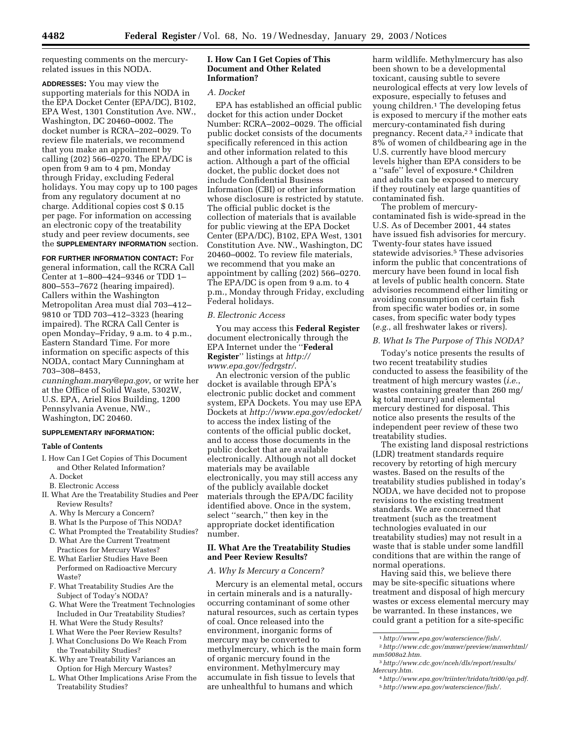requesting comments on the mercuryrelated issues in this NODA.

**ADDRESSES:** You may view the supporting materials for this NODA in the EPA Docket Center (EPA/DC), B102, EPA West, 1301 Constitution Ave. NW., Washington, DC 20460–0002. The docket number is RCRA–202–0029. To review file materials, we recommend that you make an appointment by calling (202) 566–0270. The EPA/DC is open from 9 am to 4 pm, Monday through Friday, excluding Federal holidays. You may copy up to 100 pages from any regulatory document at no charge. Additional copies cost \$ 0.15 per page. For information on accessing an electronic copy of the treatability study and peer review documents, see the **SUPPLEMENTARY INFORMATION** section.

**FOR FURTHER INFORMATION CONTACT:** For general information, call the RCRA Call Center at 1–800–424–9346 or TDD 1– 800–553–7672 (hearing impaired). Callers within the Washington Metropolitan Area must dial 703–412– 9810 or TDD 703–412–3323 (hearing impaired). The RCRA Call Center is open Monday–Friday, 9 a.m. to 4 p.m., Eastern Standard Time. For more information on specific aspects of this NODA, contact Mary Cunningham at 703–308–8453,

*cunningham.mary@epa.gov*, or write her at the Office of Solid Waste, 5302W, U.S. EPA, Ariel Rios Building, 1200 Pennsylvania Avenue, NW., Washington, DC 20460.

#### **SUPPLEMENTARY INFORMATION:**

#### **Table of Contents**

- I. How Can I Get Copies of This Document and Other Related Information? A. Docket
- B. Electronic Access
- II. What Are the Treatability Studies and Peer Review Results?
	- A. Why Is Mercury a Concern?
	- B. What Is the Purpose of This NODA?
	- C. What Prompted the Treatability Studies?
	- D. What Are the Current Treatment Practices for Mercury Wastes?
	- E. What Earlier Studies Have Been Performed on Radioactive Mercury Waste?
	- F. What Treatability Studies Are the Subject of Today's NODA?
	- G. What Were the Treatment Technologies Included in Our Treatability Studies?
	- H. What Were the Study Results?
	- I. What Were the Peer Review Results?
	- J. What Conclusions Do We Reach From the Treatability Studies?
	- K. Why are Treatability Variances an Option for High Mercury Wastes?
	- L. What Other Implications Arise From the Treatability Studies?

### **I. How Can I Get Copies of This Document and Other Related Information?**

### *A. Docket*

EPA has established an official public docket for this action under Docket Number: RCRA–2002–0029. The official public docket consists of the documents specifically referenced in this action and other information related to this action. Although a part of the official docket, the public docket does not include Confidential Business Information (CBI) or other information whose disclosure is restricted by statute. The official public docket is the collection of materials that is available for public viewing at the EPA Docket Center (EPA/DC), B102, EPA West, 1301 Constitution Ave. NW., Washington, DC 20460–0002. To review file materials, we recommend that you make an appointment by calling (202) 566–0270. The EPA/DC is open from 9 a.m. to 4 p.m., Monday through Friday, excluding Federal holidays.

### *B. Electronic Access*

You may access this **Federal Register** document electronically through the EPA Internet under the ''**Federal Register**'' listings at *http:// www.epa.gov/fedrgstr/*.

An electronic version of the public docket is available through EPA's electronic public docket and comment system, EPA Dockets. You may use EPA Dockets at *http://www.epa.gov/edocket/* to access the index listing of the contents of the official public docket, and to access those documents in the public docket that are available electronically. Although not all docket materials may be available electronically, you may still access any of the publicly available docket materials through the EPA/DC facility identified above. Once in the system, select ''search,'' then key in the appropriate docket identification number.

# **II. What Are the Treatability Studies and Peer Review Results?**

## *A. Why Is Mercury a Concern?*

Mercury is an elemental metal, occurs in certain minerals and is a naturallyoccurring contaminant of some other natural resources, such as certain types of coal. Once released into the environment, inorganic forms of mercury may be converted to methylmercury, which is the main form of organic mercury found in the environment. Methylmercury may accumulate in fish tissue to levels that are unhealthful to humans and which

harm wildlife. Methylmercury has also been shown to be a developmental toxicant, causing subtle to severe neurological effects at very low levels of exposure, especially to fetuses and young children.1 The developing fetus is exposed to mercury if the mother eats mercury-contaminated fish during pregnancy. Recent data,<sup>23</sup> indicate that 8% of women of childbearing age in the U.S. currently have blood mercury levels higher than EPA considers to be a ''safe'' level of exposure.4 Children and adults can be exposed to mercury if they routinely eat large quantities of contaminated fish.

The problem of mercurycontaminated fish is wide-spread in the U.S. As of December 2001, 44 states have issued fish advisories for mercury. Twenty-four states have issued statewide advisories.5 These advisories inform the public that concentrations of mercury have been found in local fish at levels of public health concern. State advisories recommend either limiting or avoiding consumption of certain fish from specific water bodies or, in some cases, from specific water body types (*e.g.*, all freshwater lakes or rivers).

### *B. What Is The Purpose of This NODA?*

Today's notice presents the results of two recent treatability studies conducted to assess the feasibility of the treatment of high mercury wastes (*i.e.*, wastes containing greater than 260 mg/ kg total mercury) and elemental mercury destined for disposal. This notice also presents the results of the independent peer review of these two treatability studies.

The existing land disposal restrictions (LDR) treatment standards require recovery by retorting of high mercury wastes. Based on the results of the treatability studies published in today's NODA, we have decided not to propose revisions to the existing treatment standards. We are concerned that treatment (such as the treatment technologies evaluated in our treatability studies) may not result in a waste that is stable under some landfill conditions that are within the range of normal operations.

Having said this, we believe there may be site-specific situations where treatment and disposal of high mercury wastes or excess elemental mercury may be warranted. In these instances, we could grant a petition for a site-specific

<sup>1</sup>*http://www.epa.gov/waterscience/fish/.*

<sup>2</sup>*http://www.cdc.gov/mmwr/preview/mmwrhtml/ mm5008a2.htm.*

<sup>3</sup>*http://www.cdc.gov/nceh/dls/report/results/ Mercury.htm.*

<sup>4</sup>*http://www.epa.gov/triinter/tridata/tri00/qa.pdf.* 5*http://www.epa.gov/waterscience/fish/.*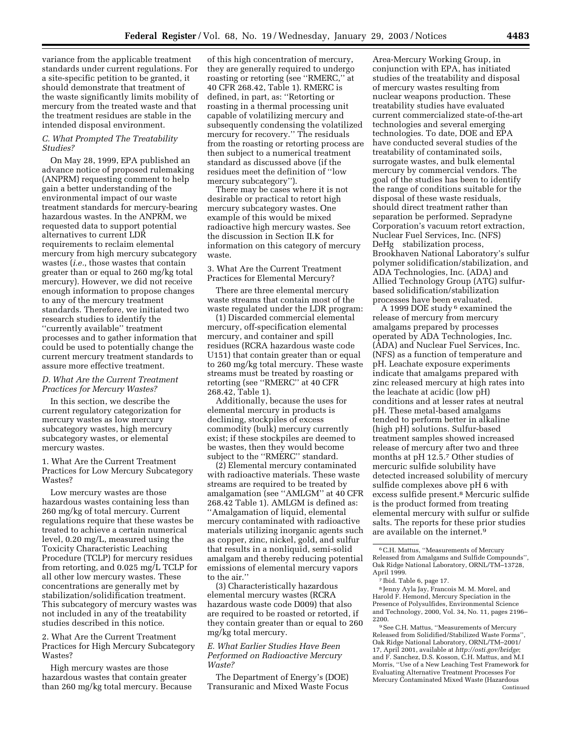variance from the applicable treatment standards under current regulations. For a site-specific petition to be granted, it should demonstrate that treatment of the waste significantly limits mobility of mercury from the treated waste and that the treatment residues are stable in the intended disposal environment.

## *C. What Prompted The Treatability Studies?*

On May 28, 1999, EPA published an advance notice of proposed rulemaking (ANPRM) requesting comment to help gain a better understanding of the environmental impact of our waste treatment standards for mercury-bearing hazardous wastes. In the ANPRM, we requested data to support potential alternatives to current LDR requirements to reclaim elemental mercury from high mercury subcategory wastes (*i.e.*, those wastes that contain greater than or equal to 260 mg/kg total mercury). However, we did not receive enough information to propose changes to any of the mercury treatment standards. Therefore, we initiated two research studies to identify the ''currently available'' treatment processes and to gather information that could be used to potentially change the current mercury treatment standards to assure more effective treatment.

# *D. What Are the Current Treatment Practices for Mercury Wastes?*

In this section, we describe the current regulatory categorization for mercury wastes as low mercury subcategory wastes, high mercury subcategory wastes, or elemental mercury wastes.

1. What Are the Current Treatment Practices for Low Mercury Subcategory Wastes?

Low mercury wastes are those hazardous wastes containing less than 260 mg/kg of total mercury. Current regulations require that these wastes be treated to achieve a certain numerical level, 0.20 mg/L, measured using the Toxicity Characteristic Leaching Procedure (TCLP) for mercury residues from retorting, and 0.025 mg/L TCLP for all other low mercury wastes. These concentrations are generally met by stabilization/solidification treatment. This subcategory of mercury wastes was not included in any of the treatability studies described in this notice.

2. What Are the Current Treatment Practices for High Mercury Subcategory Wastes?

High mercury wastes are those hazardous wastes that contain greater than 260 mg/kg total mercury. Because

of this high concentration of mercury, they are generally required to undergo roasting or retorting (see ''RMERC,'' at 40 CFR 268.42, Table 1). RMERC is defined, in part, as: ''Retorting or roasting in a thermal processing unit capable of volatilizing mercury and subsequently condensing the volatilized mercury for recovery.'' The residuals from the roasting or retorting process are then subject to a numerical treatment standard as discussed above (if the residues meet the definition of ''low mercury subcategory'').

There may be cases where it is not desirable or practical to retort high mercury subcategory wastes. One example of this would be mixed radioactive high mercury wastes. See the discussion in Section II.K for information on this category of mercury waste.

3. What Are the Current Treatment Practices for Elemental Mercury?

There are three elemental mercury waste streams that contain most of the waste regulated under the LDR program:

(1) Discarded commercial elemental mercury, off-specification elemental mercury, and container and spill residues (RCRA hazardous waste code U151) that contain greater than or equal to 260 mg/kg total mercury. These waste streams must be treated by roasting or retorting (see ''RMERC'' at 40 CFR 268.42, Table 1).

Additionally, because the uses for elemental mercury in products is declining, stockpiles of excess commodity (bulk) mercury currently exist; if these stockpiles are deemed to be wastes, then they would become subject to the ''RMERC'' standard.

(2) Elemental mercury contaminated with radioactive materials. These waste streams are required to be treated by amalgamation (see ''AMLGM'' at 40 CFR 268.42 Table 1). AMLGM is defined as: ''Amalgamation of liquid, elemental mercury contaminated with radioactive materials utilizing inorganic agents such as copper, zinc, nickel, gold, and sulfur that results in a nonliquid, semi-solid amalgam and thereby reducing potential emissions of elemental mercury vapors to the air.''

(3) Characteristically hazardous elemental mercury wastes (RCRA hazardous waste code D009) that also are required to be roasted or retorted, if they contain greater than or equal to 260 mg/kg total mercury.

### *E. What Earlier Studies Have Been Performed on Radioactive Mercury Waste?*

The Department of Energy's (DOE) Transuranic and Mixed Waste Focus

Area-Mercury Working Group, in conjunction with EPA, has initiated studies of the treatability and disposal of mercury wastes resulting from nuclear weapons production. These treatability studies have evaluated current commercialized state-of-the-art technologies and several emerging technologies. To date, DOE and EPA have conducted several studies of the treatability of contaminated soils, surrogate wastes, and bulk elemental mercury by commercial vendors. The goal of the studies has been to identify the range of conditions suitable for the disposal of these waste residuals, should direct treatment rather than separation be performed. Sepradyne Corporation's vacuum retort extraction, Nuclear Fuel Services, Inc. (NFS) DeHg<sup>®</sup> stabilization process, Brookhaven National Laboratory's sulfur polymer solidification/stabilization, and ADA Technologies, Inc. (ADA) and Allied Technology Group (ATG) sulfurbased solidification/stabilization processes have been evaluated.

A 1999 DOE study 6 examined the release of mercury from mercury amalgams prepared by processes operated by ADA Technologies, Inc. (ADA) and Nuclear Fuel Services, Inc. (NFS) as a function of temperature and pH. Leachate exposure experiments indicate that amalgams prepared with zinc released mercury at high rates into the leachate at acidic (low pH) conditions and at lesser rates at neutral pH. These metal-based amalgams tended to perform better in alkaline (high pH) solutions. Sulfur-based treatment samples showed increased release of mercury after two and three months at pH 12.5.7 Other studies of mercuric sulfide solubility have detected increased solubility of mercury sulfide complexes above pH 6 with excess sulfide present.8 Mercuric sulfide is the product formed from treating elemental mercury with sulfur or sulfide salts. The reports for these prior studies are available on the internet.9

8 Jenny Ayla Jay, Francois M. M. Morel, and Harold F. Hemond, Mercury Speciation in the Presence of Polysulfides, Environmental Science and Technology, 2000, Vol. 34, No. 11, pages 2196– 2200.

<sup>9</sup> See C.H. Mattus, "Measurements of Mercury Released from Solidified/Stabilized Waste Forms'', Oak Ridge National Laboratory, ORNL/TM–2001/ 17, April 2001, available at *http://osti.gov/bridge*; and F. Sanchez, D.S. Kosson, C.H. Mattus, and M.I Morris, ''Use of a New Leaching Test Framework for Evaluating Alternative Treatment Processes For Mercury Contaminated Mixed Waste (Hazardous Continued

<sup>6</sup>C.H. Mattus, ''Measurements of Mercury Released from Amalgams and Sulfide Compounds'', Oak Ridge National Laboratory, ORNL/TM–13728, April 1999.

<sup>7</sup> Ibid. Table 6, page 17.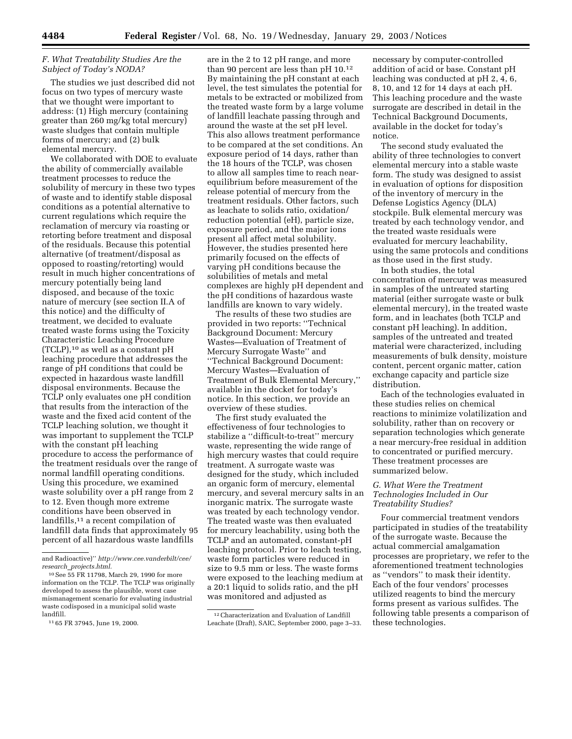## *F. What Treatability Studies Are the Subject of Today's NODA?*

The studies we just described did not focus on two types of mercury waste that we thought were important to address: (1) High mercury (containing greater than 260 mg/kg total mercury) waste sludges that contain multiple forms of mercury; and (2) bulk elemental mercury.

We collaborated with DOE to evaluate the ability of commercially available treatment processes to reduce the solubility of mercury in these two types of waste and to identify stable disposal conditions as a potential alternative to current regulations which require the reclamation of mercury via roasting or retorting before treatment and disposal of the residuals. Because this potential alternative (of treatment/disposal as opposed to roasting/retorting) would result in much higher concentrations of mercury potentially being land disposed, and because of the toxic nature of mercury (see section II.A of this notice) and the difficulty of treatment, we decided to evaluate treated waste forms using the Toxicity Characteristic Leaching Procedure (TCLP),10 as well as a constant pH leaching procedure that addresses the range of pH conditions that could be expected in hazardous waste landfill disposal environments. Because the TCLP only evaluates one pH condition that results from the interaction of the waste and the fixed acid content of the TCLP leaching solution, we thought it was important to supplement the TCLP with the constant pH leaching procedure to access the performance of the treatment residuals over the range of normal landfill operating conditions. Using this procedure, we examined waste solubility over a pH range from 2 to 12. Even though more extreme conditions have been observed in landfills,<sup>11</sup> a recent compilation of landfill data finds that approximately 95 percent of all hazardous waste landfills

are in the 2 to 12 pH range, and more than 90 percent are less than pH 10.12 By maintaining the pH constant at each level, the test simulates the potential for metals to be extracted or mobilized from the treated waste form by a large volume of landfill leachate passing through and around the waste at the set pH level. This also allows treatment performance to be compared at the set conditions. An exposure period of 14 days, rather than the 18 hours of the TCLP, was chosen to allow all samples time to reach nearequilibrium before measurement of the release potential of mercury from the treatment residuals. Other factors, such as leachate to solids ratio, oxidation/ reduction potential (eH), particle size, exposure period, and the major ions present all affect metal solubility. However, the studies presented here primarily focused on the effects of varying pH conditions because the solubilities of metals and metal complexes are highly pH dependent and the pH conditions of hazardous waste landfills are known to vary widely.

The results of these two studies are provided in two reports: ''Technical Background Document: Mercury Wastes—Evaluation of Treatment of Mercury Surrogate Waste'' and ''Technical Background Document: Mercury Wastes—Evaluation of Treatment of Bulk Elemental Mercury,'' available in the docket for today's notice. In this section, we provide an overview of these studies.

The first study evaluated the effectiveness of four technologies to stabilize a ''difficult-to-treat'' mercury waste, representing the wide range of high mercury wastes that could require treatment. A surrogate waste was designed for the study, which included an organic form of mercury, elemental mercury, and several mercury salts in an inorganic matrix. The surrogate waste was treated by each technology vendor. The treated waste was then evaluated for mercury leachability, using both the TCLP and an automated, constant-pH leaching protocol. Prior to leach testing, waste form particles were reduced in size to 9.5 mm or less. The waste forms were exposed to the leaching medium at a 20:1 liquid to solids ratio, and the pH was monitored and adjusted as

necessary by computer-controlled addition of acid or base. Constant pH leaching was conducted at pH 2, 4, 6, 8, 10, and 12 for 14 days at each pH. This leaching procedure and the waste surrogate are described in detail in the Technical Background Documents, available in the docket for today's notice.

The second study evaluated the ability of three technologies to convert elemental mercury into a stable waste form. The study was designed to assist in evaluation of options for disposition of the inventory of mercury in the Defense Logistics Agency (DLA) stockpile. Bulk elemental mercury was treated by each technology vendor, and the treated waste residuals were evaluated for mercury leachability, using the same protocols and conditions as those used in the first study.

In both studies, the total concentration of mercury was measured in samples of the untreated starting material (either surrogate waste or bulk elemental mercury), in the treated waste form, and in leachates (both TCLP and constant pH leaching). In addition, samples of the untreated and treated material were characterized, including measurements of bulk density, moisture content, percent organic matter, cation exchange capacity and particle size distribution.

Each of the technologies evaluated in these studies relies on chemical reactions to minimize volatilization and solubility, rather than on recovery or separation technologies which generate a near mercury-free residual in addition to concentrated or purified mercury. These treatment processes are summarized below.

## *G. What Were the Treatment Technologies Included in Our Treatability Studies?*

Four commercial treatment vendors participated in studies of the treatability of the surrogate waste. Because the actual commercial amalgamation processes are proprietary, we refer to the aforementioned treatment technologies as ''vendors'' to mask their identity. Each of the four vendors' processes utilized reagents to bind the mercury forms present as various sulfides. The following table presents a comparison of these technologies.

and Radioactive)'' *http://www.cee.vanderbilt/cee/ research*\_*projects.html.*

<sup>10</sup>See 55 FR 11798, March 29, 1990 for more information on the TCLP. The TCLP was originally developed to assess the plausible, worst case mismanagement scenario for evaluating industrial waste codisposed in a municipal solid waste landfill.

<sup>11</sup> 65 FR 37945, June 19, 2000.

<sup>12</sup>Characterization and Evaluation of Landfill Leachate (Draft), SAIC, September 2000, page 3–33.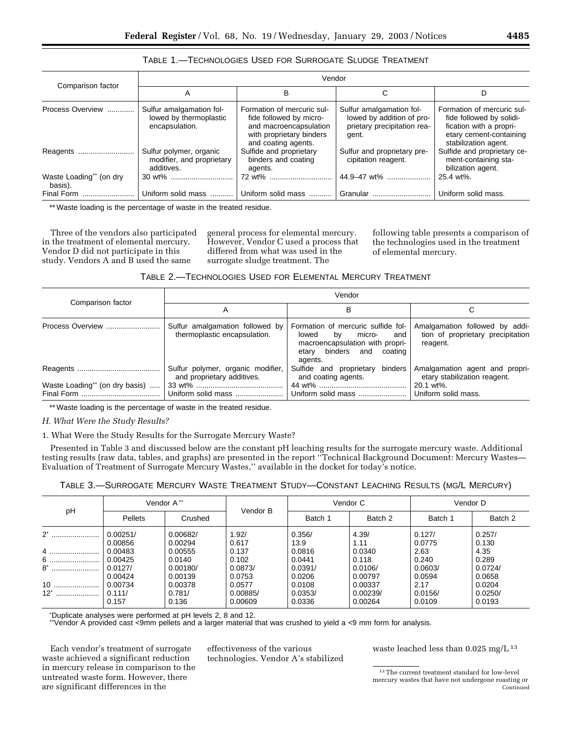| Comparison factor                  | Vendor                                                               |                                                                                                                                    |                                                                                               |                                                                                                                                      |  |  |
|------------------------------------|----------------------------------------------------------------------|------------------------------------------------------------------------------------------------------------------------------------|-----------------------------------------------------------------------------------------------|--------------------------------------------------------------------------------------------------------------------------------------|--|--|
|                                    | Α                                                                    | в                                                                                                                                  | C                                                                                             | D                                                                                                                                    |  |  |
| Process Overview                   | Sulfur amalgamation fol-<br>lowed by thermoplastic<br>encapsulation. | Formation of mercuric sul-<br>fide followed by micro-<br>and macroencapsulation<br>with proprietary binders<br>and coating agents. | Sulfur amalgamation fol-<br>lowed by addition of pro-<br>prietary precipitation rea-<br>gent. | Formation of mercuric sul-<br>fide followed by solidi-<br>fication with a propri-<br>etary cement-containing<br>stabilization agent. |  |  |
| Reagents                           | Sulfur polymer, organic<br>modifier, and proprietary<br>additives.   | Sulfide and proprietary<br>binders and coating<br>agents.                                                                          | Sulfur and proprietary pre-<br>cipitation reagent.                                            | Sulfide and proprietary ce-<br>ment-containing sta-<br>bilization agent.                                                             |  |  |
| Waste Loading** (on dry<br>basis). |                                                                      | 72 wt%                                                                                                                             | 44.9–47 wt%                                                                                   | 25.4 wt%.                                                                                                                            |  |  |
| Final Form                         | Uniform solid mass                                                   | Uniform solid mass                                                                                                                 | Granular                                                                                      | Uniform solid mass.                                                                                                                  |  |  |

# TABLE 1.—TECHNOLOGIES USED FOR SURROGATE SLUDGE TREATMENT

\*\* Waste loading is the percentage of waste in the treated residue.

Three of the vendors also participated in the treatment of elemental mercury. Vendor D did not participate in this study. Vendors A and B used the same

general process for elemental mercury. However, Vendor C used a process that differed from what was used in the surrogate sludge treatment. The

following table presents a comparison of the technologies used in the treatment of elemental mercury.

| Table 2.—Technologies Used for Elemental Mercury Treatment |  |  |
|------------------------------------------------------------|--|--|
|------------------------------------------------------------|--|--|

|                                | Vendor                                                          |                                                                                                                                                 |                                                                                 |  |  |
|--------------------------------|-----------------------------------------------------------------|-------------------------------------------------------------------------------------------------------------------------------------------------|---------------------------------------------------------------------------------|--|--|
| Comparison factor              | Α                                                               | В                                                                                                                                               |                                                                                 |  |  |
| Process Overview               | Sulfur amalgamation followed by<br>thermoplastic encapsulation. | Formation of mercuric sulfide fol-<br>by<br>micro-<br>lowed<br>and l<br>macroencapsulation with propri-<br>etary binders and coating<br>agents. | Amalgamation followed by addi-<br>tion of proprietary precipitation<br>reagent. |  |  |
| Waste Loading** (on dry basis) | Sulfur polymer, organic modifier,<br>and proprietary additives. | Sulfide and proprietary binders<br>and coating agents.                                                                                          | Amalgamation agent and propri-<br>etary stabilization reagent.<br>20.1 wt%.     |  |  |
|                                | Uniform solid mass                                              | Uniform solid mass  Uniform solid mass.                                                                                                         |                                                                                 |  |  |

\*\* Waste loading is the percentage of waste in the treated residue.

*H. What Were the Study Results?* 

1. What Were the Study Results for the Surrogate Mercury Waste?

Presented in Table 3 and discussed below are the constant pH leaching results for the surrogate mercury waste. Additional testing results (raw data, tables, and graphs) are presented in the report ''Technical Background Document: Mercury Wastes— Evaluation of Treatment of Surrogate Mercury Wastes,'' available in the docket for today's notice.

| TABLE 3.-SURROGATE MERCURY WASTE TREATMENT STUDY-CONSTANT LEACHING RESULTS (MG/L MERCURY) |  |  |  |
|-------------------------------------------------------------------------------------------|--|--|--|
|-------------------------------------------------------------------------------------------|--|--|--|

| pH              | Vendor A**                    |                               | Vendor B                     | Vendor C                    |                                | Vendor D                  |                             |
|-----------------|-------------------------------|-------------------------------|------------------------------|-----------------------------|--------------------------------|---------------------------|-----------------------------|
|                 | <b>Pellets</b>                | Crushed                       |                              | Batch 1                     | Batch 2                        | Batch 1                   | Batch 2                     |
| $2^*$           | 0.00251/<br>0.00856           | 0.00682/<br>0.00294           | 1.92/<br>0.617               | 0.356/<br>13.9              | 4.39/<br>1.11                  | 0.127/<br>0.0775          | 0.257/<br>0.130             |
| 4<br>6<br>$8^*$ | 0.00483<br>0.00425<br>0.0127/ | 0.00555<br>0.0140<br>0.00180/ | 0.137<br>0.102<br>0.0873/    | 0.0816<br>0.0441<br>0.0391/ | 0.0340<br>0.118<br>0.0106/     | 2.63<br>0.240<br>0.0603/  | 4.35<br>0.289<br>0.0724/    |
| $10$<br>$12^*$  | 0.00424<br>0.00734<br>0.111/  | 0.00139<br>0.00378<br>0.781/  | 0.0753<br>0.0577<br>0.00885/ | 0.0206<br>0.0108<br>0.0353/ | 0.00797<br>0.00337<br>0.00239/ | 0.0594<br>2.17<br>0.0156/ | 0.0658<br>0.0204<br>0.0250/ |
|                 | 0.157                         | 0.136                         | 0.00609                      | 0.0336                      | 0.00264                        | 0.0109                    | 0.0193                      |

\* Duplicate analyses were performed at pH levels 2, 8 and 12. \*\*Vendor A provided cast <9mm pellets and a larger material that was crushed to yield a <9 mm form for analysis.

Each vendor's treatment of surrogate waste achieved a significant reduction in mercury release in comparison to the untreated waste form. However, there are significant differences in the

effectiveness of the various technologies. Vendor A's stabilized waste leached less than 0.025 mg/L 13

<sup>13</sup>The current treatment standard for low-level mercury wastes that have not undergone roasting or Continued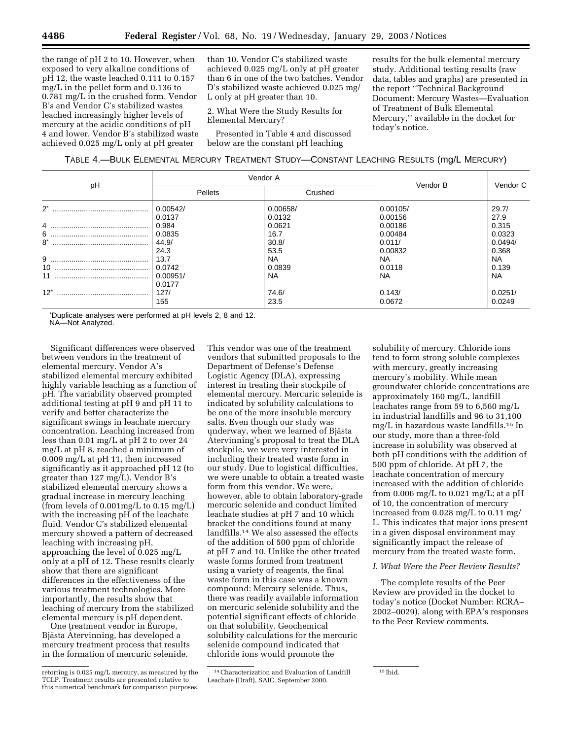the range of pH 2 to 10. However, when exposed to very alkaline conditions of pH 12, the waste leached 0.111 to 0.157 mg/L in the pellet form and 0.136 to 0.781 mg/L in the crushed form. Vendor B's and Vendor C's stabilized wastes leached increasingly higher levels of mercury at the acidic conditions of pH 4 and lower. Vendor B's stabilized waste achieved 0.025 mg/L only at pH greater

than 10. Vendor C's stabilized waste achieved 0.025 mg/L only at pH greater than 6 in one of the two batches. Vendor D's stabilized waste achieved 0.025 mg/ L only at pH greater than 10.

2. What Were the Study Results for Elemental Mercury?

Presented in Table 4 and discussed below are the constant pH leaching

results for the bulk elemental mercury study. Additional testing results (raw data, tables and graphs) are presented in the report ''Technical Background Document: Mercury Wastes—Evaluation of Treatment of Bulk Elemental Mercury,'' available in the docket for today's notice.

| TABLE 4.—BULK ELEMENTAL MERCURY TREATMENT STUDY—CONSTANT LEACHING RESULTS (mg/L MERCURY) |  |  |
|------------------------------------------------------------------------------------------|--|--|
|------------------------------------------------------------------------------------------|--|--|

|          |                              | Vendor A            |               |                    |
|----------|------------------------------|---------------------|---------------|--------------------|
| рH       | Pellets                      | Crushed             | Vendor B      | Vendor C           |
| $2^*$    | 0.00542/                     | 0.00658/            | 0.00105/      | 29.7/              |
|          | 0.0137                       | 0.0132              | 0.00156       | 27.9               |
| 4        | 0.984                        | 0.0621              | 0.00186       | 0.315              |
|          | 0.0835                       | 16.7                | 0.00484       | 0.0323             |
| $8^*$    | 44.9/                        | 30.8/               | 0.011/        | 0.0494/            |
| 9        | 24.3                         | 53.5                | 0.00832       | 0.368              |
|          | 13.7                         | <b>NA</b>           | <b>NA</b>     | <b>NA</b>          |
| 10<br>11 | 0.0742<br>0.00951/<br>0.0177 | 0.0839<br><b>NA</b> | 0.0118<br>NA. | 0.139<br><b>NA</b> |
| $12^*$   | 127/                         | 74.6/               | 0.143/        | 0.0251/            |
|          | 155                          | 23.5                | 0.0672        | 0.0249             |

\* Duplicate analyses were performed at pH levels 2, 8 and 12. NA—Not Analyzed.

Significant differences were observed between vendors in the treatment of elemental mercury. Vendor A's stabilized elemental mercury exhibited highly variable leaching as a function of pH. The variability observed prompted additional testing at pH 9 and pH 11 to verify and better characterize the significant swings in leachate mercury concentration. Leaching increased from less than 0.01 mg/L at pH 2 to over 24 mg/L at pH 8, reached a minimum of 0.009 mg/L at pH 11, then increased significantly as it approached pH 12 (to greater than 127 mg/L). Vendor B's stabilized elemental mercury shows a gradual increase in mercury leaching (from levels of 0.001mg/L to 0.15 mg/L) with the increasing pH of the leachate fluid. Vendor C's stabilized elemental mercury showed a pattern of decreased leaching with increasing pH, approaching the level of 0.025 mg/L only at a pH of 12. These results clearly show that there are significant differences in the effectiveness of the various treatment technologies. More importantly, the results show that leaching of mercury from the stabilized elemental mercury is pH dependent.

One treatment vendor in Europe, Bjästa Återvinning, has developed a mercury treatment process that results in the formation of mercuric selenide.

This vendor was one of the treatment vendors that submitted proposals to the Department of Defense's Defense Logistic Agency (DLA), expressing interest in treating their stockpile of elemental mercury. Mercuric selenide is indicated by solubility calculations to be one of the more insoluble mercury salts. Even though our study was underway, when we learned of Bjästa Atervinning's proposal to treat the DLA stockpile, we were very interested in including their treated waste form in our study. Due to logistical difficulties, we were unable to obtain a treated waste form from this vendor. We were, however, able to obtain laboratory-grade mercuric selenide and conduct limited leachate studies at pH 7 and 10 which bracket the conditions found at many landfills.14 We also assessed the effects of the addition of 500 ppm of chloride at pH 7 and 10. Unlike the other treated waste forms formed from treatment using a variety of reagents, the final waste form in this case was a known compound: Mercury selenide. Thus, there was readily available information on mercuric selenide solubility and the potential significant effects of chloride on that solubility. Geochemical solubility calculations for the mercuric selenide compound indicated that chloride ions would promote the

solubility of mercury. Chloride ions tend to form strong soluble complexes with mercury, greatly increasing mercury's mobility. While mean groundwater chloride concentrations are approximately 160 mg/L, landfill leachates range from 59 to 6,560 mg/L in industrial landfills and 96 to 31,100 mg/L in hazardous waste landfills.15 In our study, more than a three-fold increase in solubility was observed at both pH conditions with the addition of 500 ppm of chloride. At pH 7, the leachate concentration of mercury increased with the addition of chloride from 0.006 mg/L to 0.021 mg/L; at a pH of 10, the concentration of mercury increased from 0.028 mg/L to 0.11 mg/ L. This indicates that major ions present in a given disposal environment may significantly impact the release of mercury from the treated waste form.

### *I. What Were the Peer Review Results?*

The complete results of the Peer Review are provided in the docket to today's notice (Docket Number: RCRA– 2002–0029), along with EPA's responses to the Peer Review comments.

retorting is 0.025 mg/L mercury, as measured by the TCLP. Treatment results are presented relative to this numerical benchmark for comparison purposes.

<sup>14</sup>Characterization and Evaluation of Landfill Leachate (Draft), SAIC, September 2000.

<sup>15</sup> Ibid.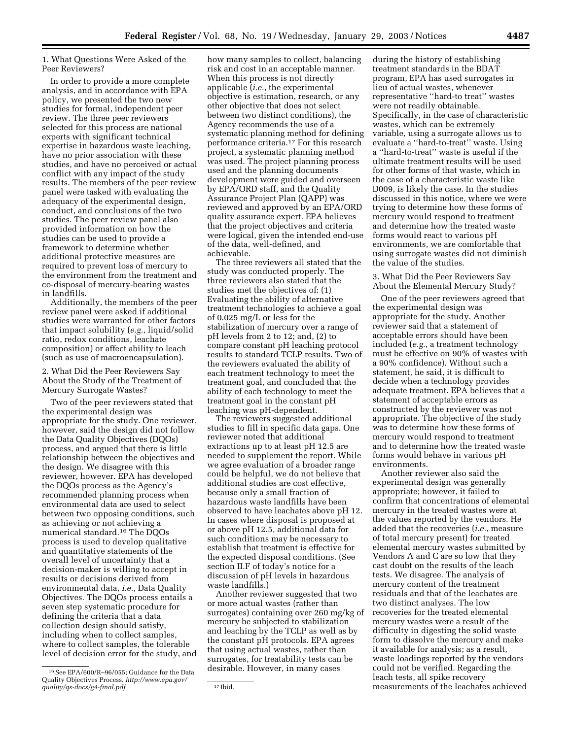1. What Questions Were Asked of the Peer Reviewers?

In order to provide a more complete analysis, and in accordance with EPA policy, we presented the two new studies for formal, independent peer review. The three peer reviewers selected for this process are national experts with significant technical expertise in hazardous waste leaching, have no prior association with these studies, and have no perceived or actual conflict with any impact of the study results. The members of the peer review panel were tasked with evaluating the adequacy of the experimental design, conduct, and conclusions of the two studies. The peer review panel also provided information on how the studies can be used to provide a framework to determine whether additional protective measures are required to prevent loss of mercury to the environment from the treatment and co-disposal of mercury-bearing wastes in landfills.

Additionally, the members of the peer review panel were asked if additional studies were warranted for other factors that impact solubility (*e.g.*, liquid/solid ratio, redox conditions, leachate composition) or affect ability to leach (such as use of macroencapsulation).

2. What Did the Peer Reviewers Say About the Study of the Treatment of Mercury Surrogate Wastes?

Two of the peer reviewers stated that the experimental design was appropriate for the study. One reviewer, however, said the design did not follow the Data Quality Objectives (DQOs) process, and argued that there is little relationship between the objectives and the design. We disagree with this reviewer, however. EPA has developed the DQOs process as the Agency's recommended planning process when environmental data are used to select between two opposing conditions, such as achieving or not achieving a numerical standard.16 The DQOs process is used to develop qualitative and quantitative statements of the overall level of uncertainty that a decision-maker is willing to accept in results or decisions derived from environmental data, *i.e.*, Data Quality Objectives. The DQOs process entails a seven step systematic procedure for defining the criteria that a data collection design should satisfy, including when to collect samples, where to collect samples, the tolerable level of decision error for the study, and

how many samples to collect, balancing risk and cost in an acceptable manner. When this process is not directly applicable (*i.e.*, the experimental objective is estimation, research, or any other objective that does not select between two distinct conditions), the Agency recommends the use of a systematic planning method for defining performance criteria.17 For this research project, a systematic planning method was used. The project planning process used and the planning documents development were guided and overseen by EPA/ORD staff, and the Quality Assurance Project Plan (QAPP) was reviewed and approved by an EPA/ORD quality assurance expert. EPA believes that the project objectives and criteria were logical, given the intended end-use of the data, well-defined, and achievable.

The three reviewers all stated that the study was conducted properly. The three reviewers also stated that the studies met the objectives of: (1) Evaluating the ability of alternative treatment technologies to achieve a goal of 0.025 mg/L or less for the stabilization of mercury over a range of pH levels from 2 to 12; and, (2) to compare constant pH leaching protocol results to standard TCLP results. Two of the reviewers evaluated the ability of each treatment technology to meet the treatment goal, and concluded that the ability of each technology to meet the treatment goal in the constant pH leaching was pH-dependent.

The reviewers suggested additional studies to fill in specific data gaps. One reviewer noted that additional extractions up to at least pH 12.5 are needed to supplement the report. While we agree evaluation of a broader range could be helpful, we do not believe that additional studies are cost effective, because only a small fraction of hazardous waste landfills have been observed to have leachates above pH 12. In cases where disposal is proposed at or above pH 12.5, additional data for such conditions may be necessary to establish that treatment is effective for the expected disposal conditions. (See section II.F of today's notice for a discussion of pH levels in hazardous waste landfills.)

Another reviewer suggested that two or more actual wastes (rather than surrogates) containing over 260 mg/kg of mercury be subjected to stabilization and leaching by the TCLP as well as by the constant pH protocols. EPA agrees that using actual wastes, rather than surrogates, for treatability tests can be desirable. However, in many cases

during the history of establishing treatment standards in the BDAT program, EPA has used surrogates in lieu of actual wastes, whenever representative ''hard-to treat'' wastes were not readily obtainable. Specifically, in the case of characteristic wastes, which can be extremely variable, using a surrogate allows us to evaluate a ''hard-to-treat'' waste. Using a ''hard-to-treat'' waste is useful if the ultimate treatment results will be used for other forms of that waste, which in the case of a characteristic waste like D009, is likely the case. In the studies discussed in this notice, where we were trying to determine how these forms of mercury would respond to treatment and determine how the treated waste forms would react to various pH environments, we are comfortable that using surrogate wastes did not diminish the value of the studies.

3. What Did the Peer Reviewers Say About the Elemental Mercury Study?

One of the peer reviewers agreed that the experimental design was appropriate for the study. Another reviewer said that a statement of acceptable errors should have been included (*e.g.*, a treatment technology must be effective on 90% of wastes with a 90% confidence). Without such a statement, he said, it is difficult to decide when a technology provides adequate treatment. EPA believes that a statement of acceptable errors as constructed by the reviewer was not appropriate. The objective of the study was to determine how these forms of mercury would respond to treatment and to determine how the treated waste forms would behave in various pH environments.

Another reviewer also said the experimental design was generally appropriate; however, it failed to confirm that concentrations of elemental mercury in the treated wastes were at the values reported by the vendors. He added that the recoveries (*i.e.*, measure of total mercury present) for treated elemental mercury wastes submitted by Vendors A and C are so low that they cast doubt on the results of the leach tests. We disagree. The analysis of mercury content of the treatment residuals and that of the leachates are two distinct analyses. The low recoveries for the treated elemental mercury wastes were a result of the difficulty in digesting the solid waste form to dissolve the mercury and make it available for analysis; as a result, waste loadings reported by the vendors could not be verified. Regarding the leach tests, all spike recovery measurements of the leachates achieved

<sup>16</sup>See EPA/600/R–96/055; Guidance for the Data Quality Objectives Process. *http://www.epa.gov/ quality/qs-docs/g4-final.pdf* 17 bid.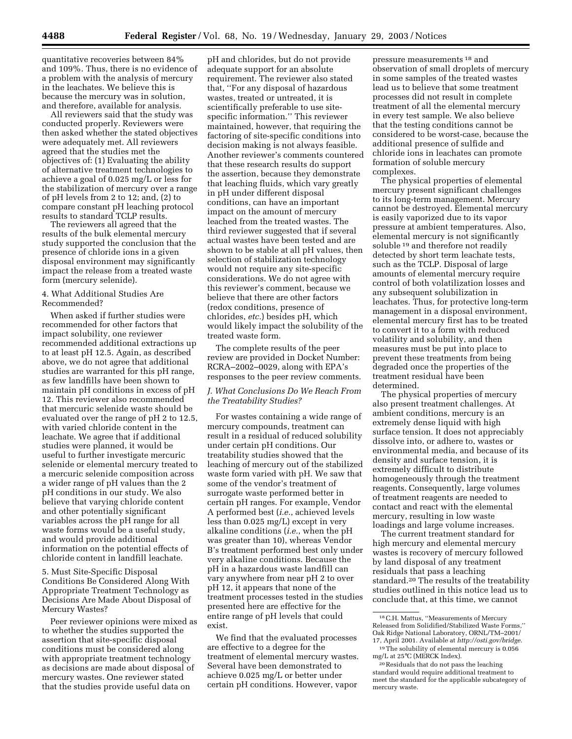quantitative recoveries between 84% and 109%. Thus, there is no evidence of a problem with the analysis of mercury in the leachates. We believe this is because the mercury was in solution, and therefore, available for analysis.

All reviewers said that the study was conducted properly. Reviewers were then asked whether the stated objectives were adequately met. All reviewers agreed that the studies met the objectives of: (1) Evaluating the ability of alternative treatment technologies to achieve a goal of 0.025 mg/L or less for the stabilization of mercury over a range of pH levels from 2 to 12; and, (2) to compare constant pH leaching protocol results to standard TCLP results.

The reviewers all agreed that the results of the bulk elemental mercury study supported the conclusion that the presence of chloride ions in a given disposal environment may significantly impact the release from a treated waste form (mercury selenide).

### 4. What Additional Studies Are Recommended?

When asked if further studies were recommended for other factors that impact solubility, one reviewer recommended additional extractions up to at least pH 12.5. Again, as described above, we do not agree that additional studies are warranted for this pH range, as few landfills have been shown to maintain pH conditions in excess of pH 12. This reviewer also recommended that mercuric selenide waste should be evaluated over the range of pH 2 to 12.5, with varied chloride content in the leachate. We agree that if additional studies were planned, it would be useful to further investigate mercuric selenide or elemental mercury treated to a mercuric selenide composition across a wider range of pH values than the 2 pH conditions in our study. We also believe that varying chloride content and other potentially significant variables across the pH range for all waste forms would be a useful study, and would provide additional information on the potential effects of chloride content in landfill leachate.

5. Must Site-Specific Disposal Conditions Be Considered Along With Appropriate Treatment Technology as Decisions Are Made About Disposal of Mercury Wastes?

Peer reviewer opinions were mixed as to whether the studies supported the assertion that site-specific disposal conditions must be considered along with appropriate treatment technology as decisions are made about disposal of mercury wastes. One reviewer stated that the studies provide useful data on

pH and chlorides, but do not provide adequate support for an absolute requirement. The reviewer also stated that, ''For any disposal of hazardous wastes, treated or untreated, it is scientifically preferable to use sitespecific information.'' This reviewer maintained, however, that requiring the factoring of site-specific conditions into decision making is not always feasible. Another reviewer's comments countered that these research results do support the assertion, because they demonstrate that leaching fluids, which vary greatly in pH under different disposal conditions, can have an important impact on the amount of mercury leached from the treated wastes. The third reviewer suggested that if several actual wastes have been tested and are shown to be stable at all pH values, then selection of stabilization technology would not require any site-specific considerations. We do not agree with this reviewer's comment, because we believe that there are other factors (redox conditions, presence of chlorides, *etc.*) besides pH, which would likely impact the solubility of the treated waste form.

The complete results of the peer review are provided in Docket Number: RCRA–2002–0029, along with EPA's responses to the peer review comments.

## *J. What Conclusions Do We Reach From the Treatability Studies?*

For wastes containing a wide range of mercury compounds, treatment can result in a residual of reduced solubility under certain pH conditions. Our treatability studies showed that the leaching of mercury out of the stabilized waste form varied with pH. We saw that some of the vendor's treatment of surrogate waste performed better in certain pH ranges. For example, Vendor A performed best (*i.e.*, achieved levels less than 0.025 mg/L) except in very alkaline conditions (*i.e.*, when the pH was greater than 10), whereas Vendor B's treatment performed best only under very alkaline conditions. Because the pH in a hazardous waste landfill can vary anywhere from near pH 2 to over pH 12, it appears that none of the treatment processes tested in the studies presented here are effective for the entire range of pH levels that could exist.

We find that the evaluated processes are effective to a degree for the treatment of elemental mercury wastes. Several have been demonstrated to achieve 0.025 mg/L or better under certain pH conditions. However, vapor

pressure measurements 18 and observation of small droplets of mercury in some samples of the treated wastes lead us to believe that some treatment processes did not result in complete treatment of all the elemental mercury in every test sample. We also believe that the testing conditions cannot be considered to be worst-case, because the additional presence of sulfide and chloride ions in leachates can promote formation of soluble mercury complexes.

The physical properties of elemental mercury present significant challenges to its long-term management. Mercury cannot be destroyed. Elemental mercury is easily vaporized due to its vapor pressure at ambient temperatures. Also, elemental mercury is not significantly soluble <sup>19</sup> and therefore not readily detected by short term leachate tests, such as the TCLP. Disposal of large amounts of elemental mercury require control of both volatilization losses and any subsequent solubilization in leachates. Thus, for protective long-term management in a disposal environment, elemental mercury first has to be treated to convert it to a form with reduced volatility and solubility, and then measures must be put into place to prevent these treatments from being degraded once the properties of the treatment residual have been determined.

The physical properties of mercury also present treatment challenges. At ambient conditions, mercury is an extremely dense liquid with high surface tension. It does not appreciably dissolve into, or adhere to, wastes or environmental media, and because of its density and surface tension, it is extremely difficult to distribute homogeneously through the treatment reagents. Consequently, large volumes of treatment reagents are needed to contact and react with the elemental mercury, resulting in low waste loadings and large volume increases.

The current treatment standard for high mercury and elemental mercury wastes is recovery of mercury followed by land disposal of any treatment residuals that pass a leaching standard.20 The results of the treatability studies outlined in this notice lead us to conclude that, at this time, we cannot

<sup>18</sup>C.H. Mattus, ''Measurements of Mercury Released from Solidified/Stabilized Waste Forms,'' Oak Ridge National Laboratory, ORNL/TM–2001/ 17, April 2001. Available at *http://osti.gov/bridge*. 19The solubility of elemental mercury is 0.056

mg/L at 25°C (MERCK Index). 20Residuals that do not pass the leaching

standard would require additional treatment to meet the standard for the applicable subcategory of mercury waste.